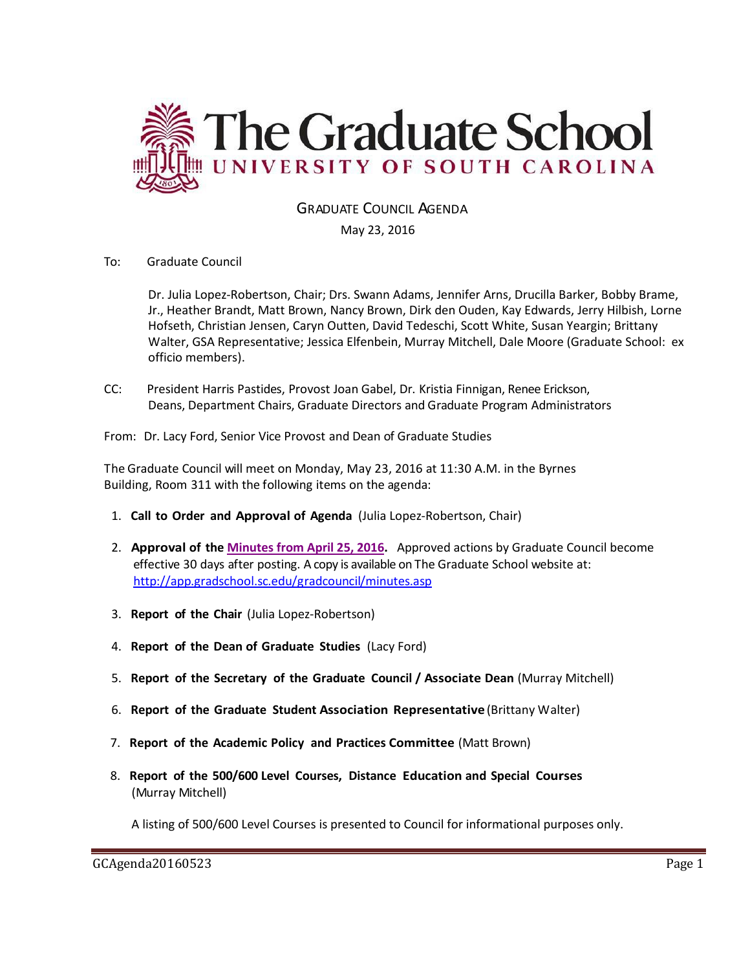

GRADUATE COUNCIL AGENDA

May 23, 2016

#### To: Graduate Council

Dr. Julia Lopez-Robertson, Chair; Drs. Swann Adams, Jennifer Arns, Drucilla Barker, Bobby Brame, Jr., Heather Brandt, Matt Brown, Nancy Brown, Dirk den Ouden, Kay Edwards, Jerry Hilbish, Lorne Hofseth, Christian Jensen, Caryn Outten, David Tedeschi, Scott White, Susan Yeargin; Brittany Walter, GSA Representative; Jessica Elfenbein, Murray Mitchell, Dale Moore (Graduate School: ex officio members).

CC: President Harris Pastides, Provost Joan Gabel, Dr. Kristia Finnigan, Renee Erickson, Deans, Department Chairs, Graduate Directors and Graduate Program Administrators

From: Dr. Lacy Ford, Senior Vice Provost and Dean of Graduate Studies

The Graduate Council will meet on Monday, May 23, 2016 at 11:30 A.M. in the Byrnes Building, Room 311 with the following items on the agenda:

- 1. **Call to Order and Approval of Agenda** (Julia Lopez-Robertson, Chair)
- 2. **Approval of the [Minutes from April 25, 2016.](http://gradschool.sc.edu/facstaff/gradcouncil/2015/GCMINUTESApril252016MM.pdf)** Approved actions by Graduate Council become effective 30 days after posting. A copy is available on The Graduate School website at: <http://app.gradschool.sc.edu/gradcouncil/minutes.asp>
- 3. **Report of the Chair** (Julia Lopez-Robertson)
- 4. **Report of the Dean of Graduate Studies** (Lacy Ford)
- 5. **Report of the Secretary of the Graduate Council / Associate Dean** (Murray Mitchell)
- 6. **Report of the Graduate Student Association Representative** (Brittany Walter)
- 7. **Report of the Academic Policy and Practices Committee** (Matt Brown)
- 8. **Report of the 500/600 Level Courses, Distance Education and Special Courses** (Murray Mitchell)

A listing of 500/600 Level Courses is presented to Council for informational purposes only.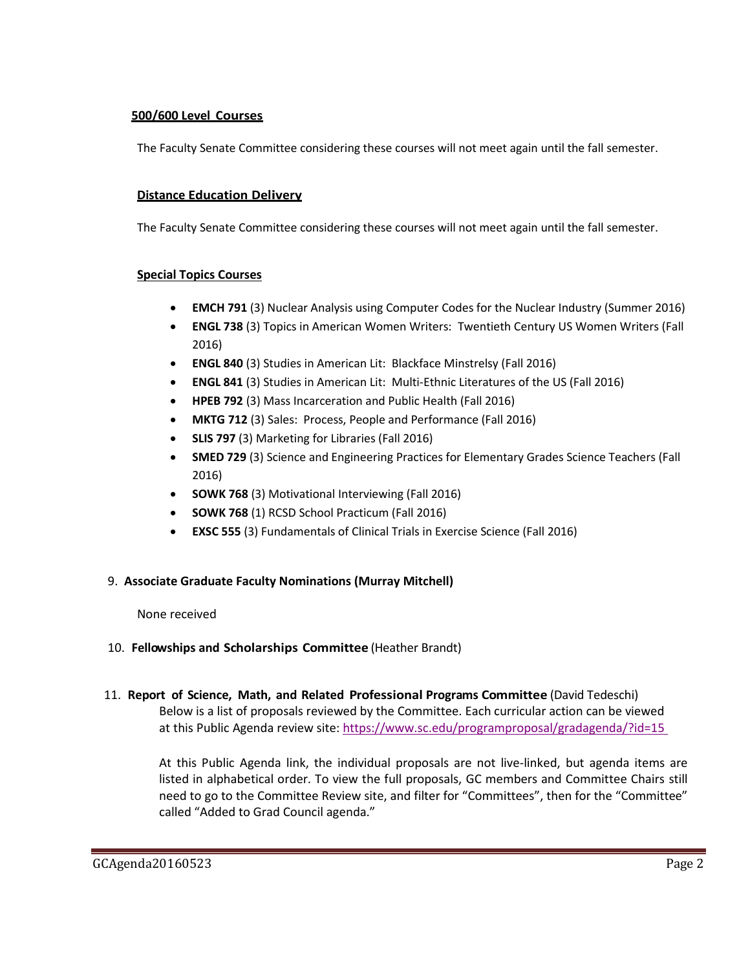### **500/600 Level Courses**

The Faculty Senate Committee considering these courses will not meet again until the fall semester.

### **Distance Education Delivery**

The Faculty Senate Committee considering these courses will not meet again until the fall semester.

### **Special Topics Courses**

- **EMCH 791** (3) Nuclear Analysis using Computer Codes for the Nuclear Industry (Summer 2016)
- **ENGL 738** (3) Topics in American Women Writers: Twentieth Century US Women Writers (Fall 2016)
- **ENGL 840** (3) Studies in American Lit: Blackface Minstrelsy (Fall 2016)
- **ENGL 841** (3) Studies in American Lit: Multi-Ethnic Literatures of the US (Fall 2016)
- **HPEB 792** (3) Mass Incarceration and Public Health (Fall 2016)
- **MKTG 712** (3) Sales: Process, People and Performance (Fall 2016)
- **SLIS 797** (3) Marketing for Libraries (Fall 2016)
- **SMED 729** (3) Science and Engineering Practices for Elementary Grades Science Teachers (Fall 2016)
- **SOWK 768** (3) Motivational Interviewing (Fall 2016)
- **SOWK 768** (1) RCSD School Practicum (Fall 2016)
- **EXSC 555** (3) Fundamentals of Clinical Trials in Exercise Science (Fall 2016)

### 9. **Associate Graduate Faculty Nominations (Murray Mitchell)**

#### None received

### 10. **Fellowships and Scholarships Committee** (Heather Brandt)

11. **Report of Science, Math, and Related Professional Programs Committee** (David Tedeschi) Below is a list of proposals reviewed by the Committee. Each curricular action can be viewed at this Public Agenda review site:<https://www.sc.edu/programproposal/gradagenda/?id=15>

At this Public Agenda link, the individual proposals are not live-linked, but agenda items are listed in alphabetical order. To view the full proposals, GC members and Committee Chairs still need to go to the Committee Review site, and filter for "Committees", then for the "Committee" called "Added to Grad Council agenda."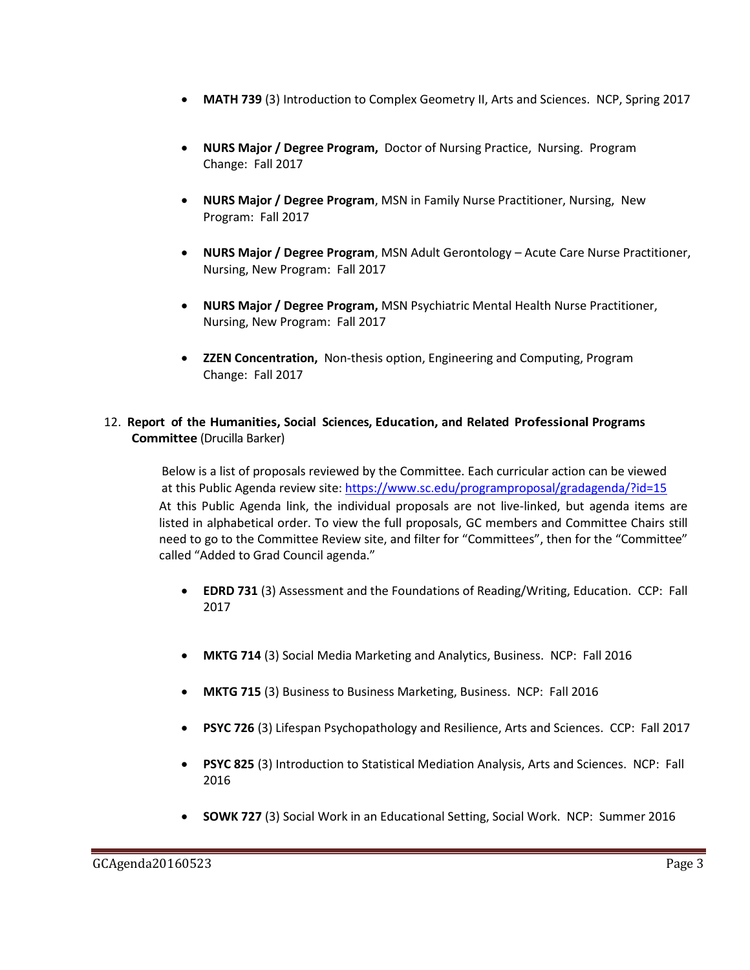- **MATH 739** (3) Introduction to Complex Geometry II, Arts and Sciences. NCP, Spring 2017
- **NURS Major / Degree Program,** Doctor of Nursing Practice, Nursing. Program Change: Fall 2017
- **NURS Major / Degree Program**, MSN in Family Nurse Practitioner, Nursing, New Program: Fall 2017
- **NURS Major / Degree Program**, MSN Adult Gerontology Acute Care Nurse Practitioner, Nursing, New Program: Fall 2017
- **NURS Major / Degree Program,** MSN Psychiatric Mental Health Nurse Practitioner, Nursing, New Program: Fall 2017
- **ZZEN Concentration,** Non-thesis option, Engineering and Computing, Program Change: Fall 2017

### 12. **Report of the Humanities, Social Sciences, Education, and Related Professional Programs Committee** (Drucilla Barker)

Below is a list of proposals reviewed by the Committee. Each curricular action can be viewed at this Public Agenda review site:<https://www.sc.edu/programproposal/gradagenda/?id=15> At this Public Agenda link, the individual proposals are not live-linked, but agenda items are listed in alphabetical order. To view the full proposals, GC members and Committee Chairs still need to go to the Committee Review site, and filter for "Committees", then for the "Committee" called "Added to Grad Council agenda."

- **EDRD 731** (3) Assessment and the Foundations of Reading/Writing, Education. CCP: Fall 2017
- **MKTG 714** (3) Social Media Marketing and Analytics, Business. NCP: Fall 2016
- **MKTG 715** (3) Business to Business Marketing, Business. NCP: Fall 2016
- **PSYC 726** (3) Lifespan Psychopathology and Resilience, Arts and Sciences. CCP: Fall 2017
- **PSYC 825** (3) Introduction to Statistical Mediation Analysis, Arts and Sciences. NCP: Fall 2016
- **SOWK 727** (3) Social Work in an Educational Setting, Social Work. NCP: Summer 2016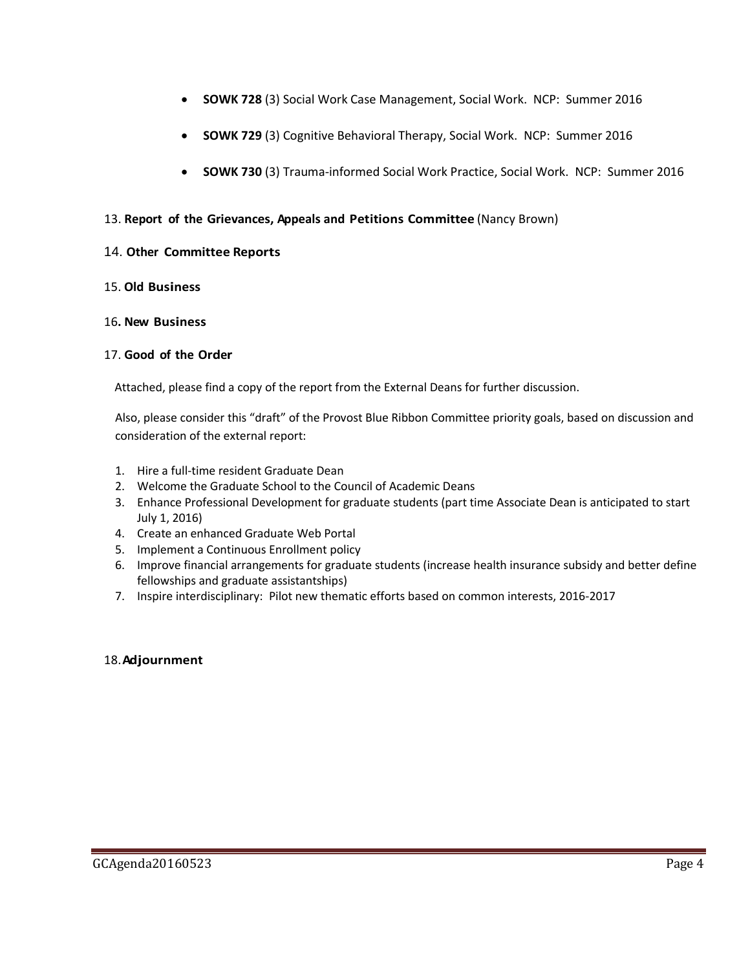- **SOWK 728** (3) Social Work Case Management, Social Work. NCP: Summer 2016
- **SOWK 729** (3) Cognitive Behavioral Therapy, Social Work. NCP: Summer 2016
- **SOWK 730** (3) Trauma-informed Social Work Practice, Social Work. NCP: Summer 2016

### 13. **Report of the Grievances, Appeals and Petitions Committee** (Nancy Brown)

### 14. **Other Committee Reports**

### 15. **Old Business**

#### 16**. New Business**

### 17. **Good of the Order**

Attached, please find a copy of the report from the External Deans for further discussion.

Also, please consider this "draft" of the Provost Blue Ribbon Committee priority goals, based on discussion and consideration of the external report:

- 1. Hire a full-time resident Graduate Dean
- 2. Welcome the Graduate School to the Council of Academic Deans
- 3. Enhance Professional Development for graduate students (part time Associate Dean is anticipated to start July 1, 2016)
- 4. Create an enhanced Graduate Web Portal
- 5. Implement a Continuous Enrollment policy
- 6. Improve financial arrangements for graduate students (increase health insurance subsidy and better define fellowships and graduate assistantships)
- 7. Inspire interdisciplinary: Pilot new thematic efforts based on common interests, 2016-2017

### 18.**Adjournment**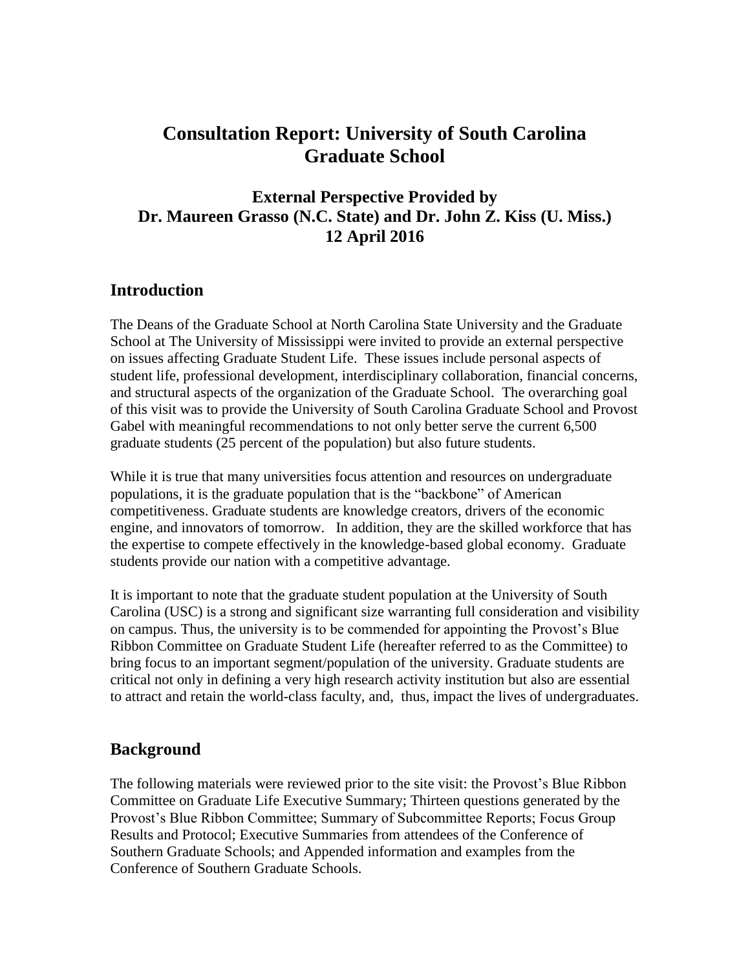# **Consultation Report: University of South Carolina Graduate School**

## **External Perspective Provided by Dr. Maureen Grasso (N.C. State) and Dr. John Z. Kiss (U. Miss.) 12 April 2016**

## **Introduction**

The Deans of the Graduate School at North Carolina State University and the Graduate School at The University of Mississippi were invited to provide an external perspective on issues affecting Graduate Student Life. These issues include personal aspects of student life, professional development, interdisciplinary collaboration, financial concerns, and structural aspects of the organization of the Graduate School. The overarching goal of this visit was to provide the University of South Carolina Graduate School and Provost Gabel with meaningful recommendations to not only better serve the current 6,500 graduate students (25 percent of the population) but also future students.

While it is true that many universities focus attention and resources on undergraduate populations, it is the graduate population that is the "backbone" of American competitiveness. Graduate students are knowledge creators, drivers of the economic engine, and innovators of tomorrow. In addition, they are the skilled workforce that has the expertise to compete effectively in the knowledge-based global economy. Graduate students provide our nation with a competitive advantage.

It is important to note that the graduate student population at the University of South Carolina (USC) is a strong and significant size warranting full consideration and visibility on campus. Thus, the university is to be commended for appointing the Provost's Blue Ribbon Committee on Graduate Student Life (hereafter referred to as the Committee) to bring focus to an important segment/population of the university. Graduate students are critical not only in defining a very high research activity institution but also are essential to attract and retain the world-class faculty, and, thus, impact the lives of undergraduates.

## **Background**

The following materials were reviewed prior to the site visit: the Provost's Blue Ribbon Committee on Graduate Life Executive Summary; Thirteen questions generated by the Provost's Blue Ribbon Committee; Summary of Subcommittee Reports; Focus Group Results and Protocol; Executive Summaries from attendees of the Conference of Southern Graduate Schools; and Appended information and examples from the Conference of Southern Graduate Schools.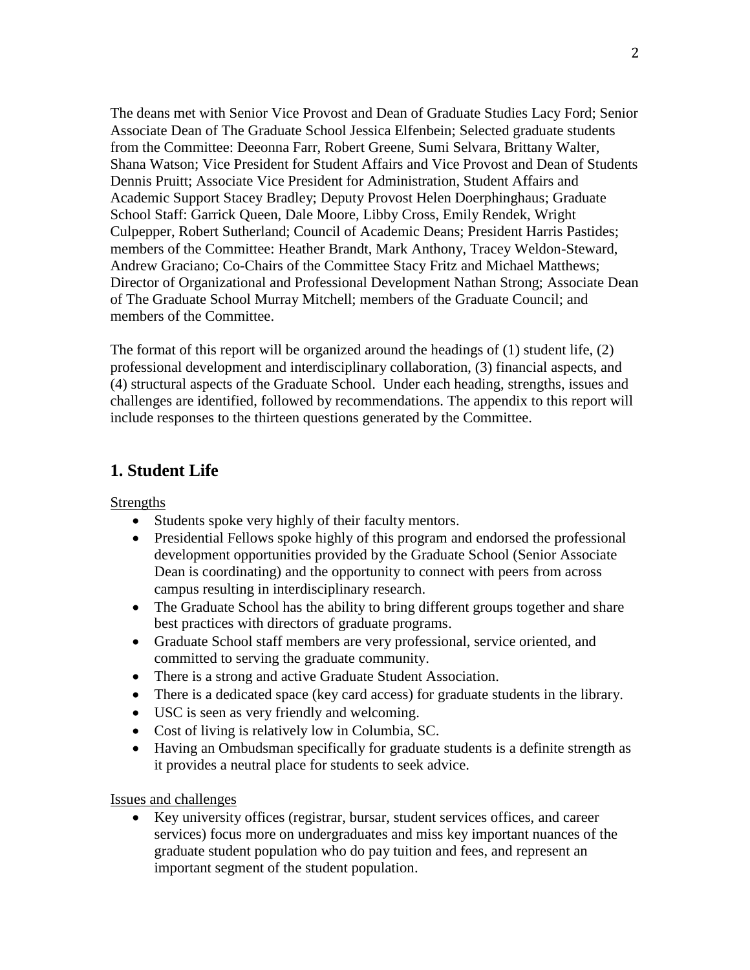The deans met with Senior Vice Provost and Dean of Graduate Studies Lacy Ford; Senior Associate Dean of The Graduate School Jessica Elfenbein; Selected graduate students from the Committee: Deeonna Farr, Robert Greene, Sumi Selvara, Brittany Walter, Shana Watson; Vice President for Student Affairs and Vice Provost and Dean of Students Dennis Pruitt; Associate Vice President for Administration, Student Affairs and Academic Support Stacey Bradley; Deputy Provost Helen Doerphinghaus; Graduate School Staff: Garrick Queen, Dale Moore, Libby Cross, Emily Rendek, Wright Culpepper, Robert Sutherland; Council of Academic Deans; President Harris Pastides; members of the Committee: Heather Brandt, Mark Anthony, Tracey Weldon-Steward, Andrew Graciano; Co-Chairs of the Committee Stacy Fritz and Michael Matthews; Director of Organizational and Professional Development Nathan Strong; Associate Dean of The Graduate School Murray Mitchell; members of the Graduate Council; and members of the Committee.

The format of this report will be organized around the headings of (1) student life, (2) professional development and interdisciplinary collaboration, (3) financial aspects, and (4) structural aspects of the Graduate School. Under each heading, strengths, issues and challenges are identified, followed by recommendations. The appendix to this report will include responses to the thirteen questions generated by the Committee.

# **1. Student Life**

**Strengths** 

- Students spoke very highly of their faculty mentors.
- Presidential Fellows spoke highly of this program and endorsed the professional development opportunities provided by the Graduate School (Senior Associate Dean is coordinating) and the opportunity to connect with peers from across campus resulting in interdisciplinary research.
- The Graduate School has the ability to bring different groups together and share best practices with directors of graduate programs.
- Graduate School staff members are very professional, service oriented, and committed to serving the graduate community.
- There is a strong and active Graduate Student Association.
- There is a dedicated space (key card access) for graduate students in the library.
- USC is seen as very friendly and welcoming.
- Cost of living is relatively low in Columbia, SC.
- Having an Ombudsman specifically for graduate students is a definite strength as it provides a neutral place for students to seek advice.

### Issues and challenges

 Key university offices (registrar, bursar, student services offices, and career services) focus more on undergraduates and miss key important nuances of the graduate student population who do pay tuition and fees, and represent an important segment of the student population.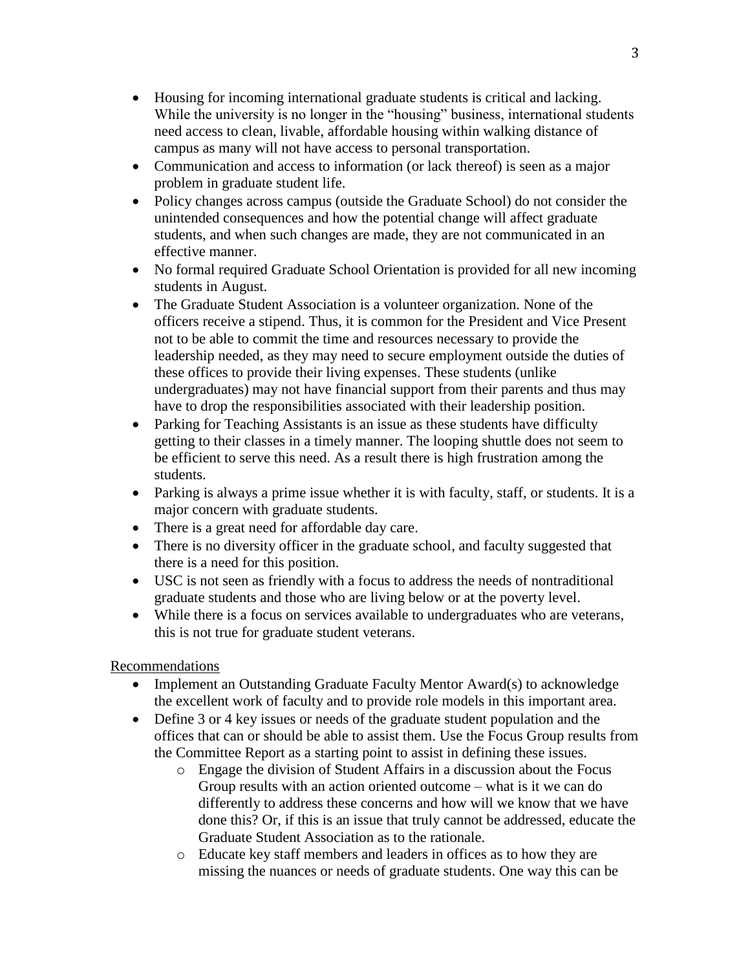- Housing for incoming international graduate students is critical and lacking. While the university is no longer in the "housing" business, international students need access to clean, livable, affordable housing within walking distance of campus as many will not have access to personal transportation.
- Communication and access to information (or lack thereof) is seen as a major problem in graduate student life.
- Policy changes across campus (outside the Graduate School) do not consider the unintended consequences and how the potential change will affect graduate students, and when such changes are made, they are not communicated in an effective manner.
- No formal required Graduate School Orientation is provided for all new incoming students in August.
- The Graduate Student Association is a volunteer organization. None of the officers receive a stipend. Thus, it is common for the President and Vice Present not to be able to commit the time and resources necessary to provide the leadership needed, as they may need to secure employment outside the duties of these offices to provide their living expenses. These students (unlike undergraduates) may not have financial support from their parents and thus may have to drop the responsibilities associated with their leadership position.
- Parking for Teaching Assistants is an issue as these students have difficulty getting to their classes in a timely manner. The looping shuttle does not seem to be efficient to serve this need. As a result there is high frustration among the students.
- Parking is always a prime issue whether it is with faculty, staff, or students. It is a major concern with graduate students.
- There is a great need for affordable day care.
- There is no diversity officer in the graduate school, and faculty suggested that there is a need for this position.
- USC is not seen as friendly with a focus to address the needs of nontraditional graduate students and those who are living below or at the poverty level.
- While there is a focus on services available to undergraduates who are veterans, this is not true for graduate student veterans.

### Recommendations

- Implement an Outstanding Graduate Faculty Mentor Award(s) to acknowledge the excellent work of faculty and to provide role models in this important area.
- Define 3 or 4 key issues or needs of the graduate student population and the offices that can or should be able to assist them. Use the Focus Group results from the Committee Report as a starting point to assist in defining these issues.
	- o Engage the division of Student Affairs in a discussion about the Focus Group results with an action oriented outcome – what is it we can do differently to address these concerns and how will we know that we have done this? Or, if this is an issue that truly cannot be addressed, educate the Graduate Student Association as to the rationale.
	- o Educate key staff members and leaders in offices as to how they are missing the nuances or needs of graduate students. One way this can be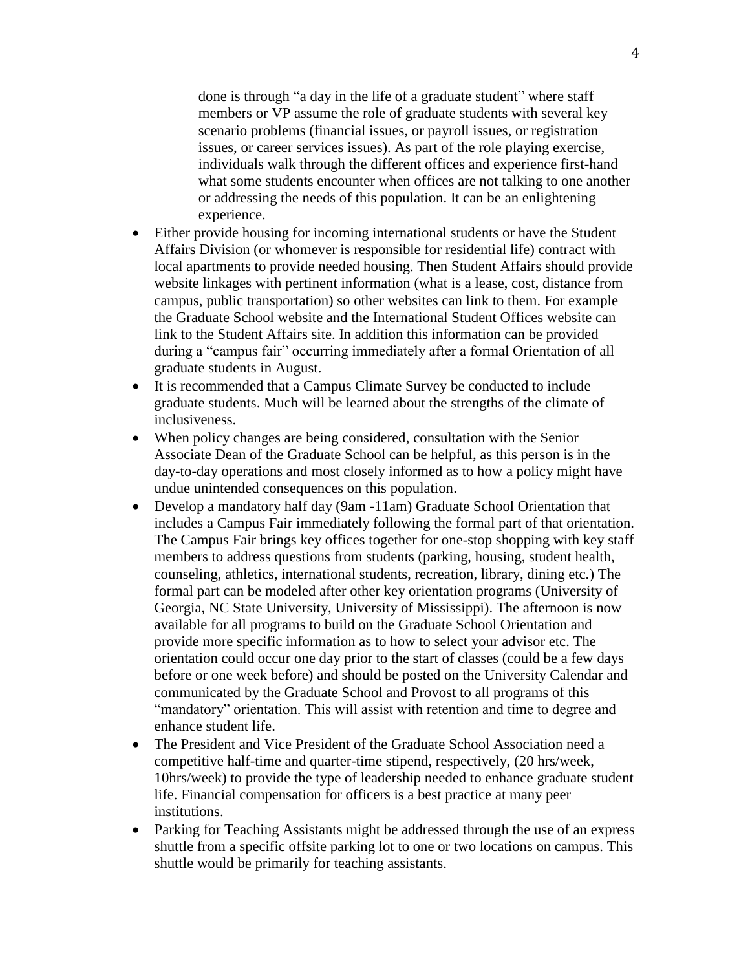done is through "a day in the life of a graduate student" where staff members or VP assume the role of graduate students with several key scenario problems (financial issues, or payroll issues, or registration issues, or career services issues). As part of the role playing exercise, individuals walk through the different offices and experience first-hand what some students encounter when offices are not talking to one another or addressing the needs of this population. It can be an enlightening experience.

- Either provide housing for incoming international students or have the Student Affairs Division (or whomever is responsible for residential life) contract with local apartments to provide needed housing. Then Student Affairs should provide website linkages with pertinent information (what is a lease, cost, distance from campus, public transportation) so other websites can link to them. For example the Graduate School website and the International Student Offices website can link to the Student Affairs site. In addition this information can be provided during a "campus fair" occurring immediately after a formal Orientation of all graduate students in August.
- It is recommended that a Campus Climate Survey be conducted to include graduate students. Much will be learned about the strengths of the climate of inclusiveness.
- When policy changes are being considered, consultation with the Senior Associate Dean of the Graduate School can be helpful, as this person is in the day-to-day operations and most closely informed as to how a policy might have undue unintended consequences on this population.
- Develop a mandatory half day (9am -11am) Graduate School Orientation that includes a Campus Fair immediately following the formal part of that orientation. The Campus Fair brings key offices together for one-stop shopping with key staff members to address questions from students (parking, housing, student health, counseling, athletics, international students, recreation, library, dining etc.) The formal part can be modeled after other key orientation programs (University of Georgia, NC State University, University of Mississippi). The afternoon is now available for all programs to build on the Graduate School Orientation and provide more specific information as to how to select your advisor etc. The orientation could occur one day prior to the start of classes (could be a few days before or one week before) and should be posted on the University Calendar and communicated by the Graduate School and Provost to all programs of this "mandatory" orientation. This will assist with retention and time to degree and enhance student life.
- The President and Vice President of the Graduate School Association need a competitive half-time and quarter-time stipend, respectively, (20 hrs/week, 10hrs/week) to provide the type of leadership needed to enhance graduate student life. Financial compensation for officers is a best practice at many peer institutions.
- Parking for Teaching Assistants might be addressed through the use of an express shuttle from a specific offsite parking lot to one or two locations on campus. This shuttle would be primarily for teaching assistants.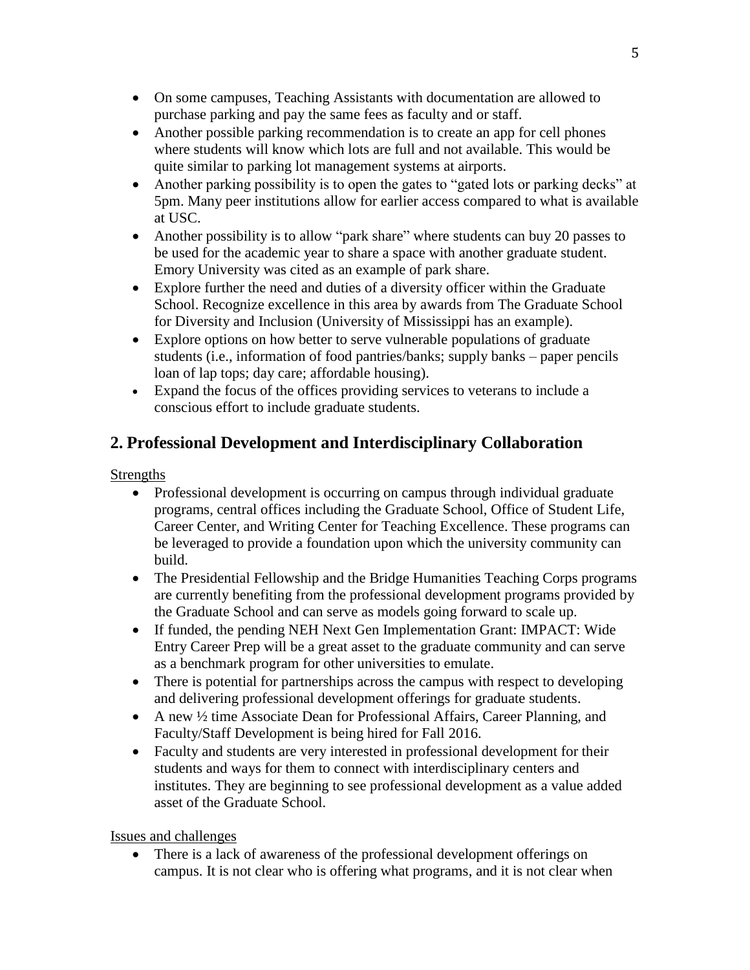- On some campuses, Teaching Assistants with documentation are allowed to purchase parking and pay the same fees as faculty and or staff.
- Another possible parking recommendation is to create an app for cell phones where students will know which lots are full and not available. This would be quite similar to parking lot management systems at airports.
- Another parking possibility is to open the gates to "gated lots or parking decks" at 5pm. Many peer institutions allow for earlier access compared to what is available at USC.
- Another possibility is to allow "park share" where students can buy 20 passes to be used for the academic year to share a space with another graduate student. Emory University was cited as an example of park share.
- Explore further the need and duties of a diversity officer within the Graduate School. Recognize excellence in this area by awards from The Graduate School for Diversity and Inclusion (University of Mississippi has an example).
- Explore options on how better to serve vulnerable populations of graduate students (i.e., information of food pantries/banks; supply banks – paper pencils loan of lap tops; day care; affordable housing).
- Expand the focus of the offices providing services to veterans to include a conscious effort to include graduate students.

# **2. Professional Development and Interdisciplinary Collaboration**

## Strengths

- Professional development is occurring on campus through individual graduate programs, central offices including the Graduate School, Office of Student Life, Career Center, and Writing Center for Teaching Excellence. These programs can be leveraged to provide a foundation upon which the university community can build.
- The Presidential Fellowship and the Bridge Humanities Teaching Corps programs are currently benefiting from the professional development programs provided by the Graduate School and can serve as models going forward to scale up.
- If funded, the pending NEH Next Gen Implementation Grant: IMPACT: Wide Entry Career Prep will be a great asset to the graduate community and can serve as a benchmark program for other universities to emulate.
- There is potential for partnerships across the campus with respect to developing and delivering professional development offerings for graduate students.
- A new ½ time Associate Dean for Professional Affairs, Career Planning, and Faculty/Staff Development is being hired for Fall 2016.
- Faculty and students are very interested in professional development for their students and ways for them to connect with interdisciplinary centers and institutes. They are beginning to see professional development as a value added asset of the Graduate School.

Issues and challenges

 There is a lack of awareness of the professional development offerings on campus. It is not clear who is offering what programs, and it is not clear when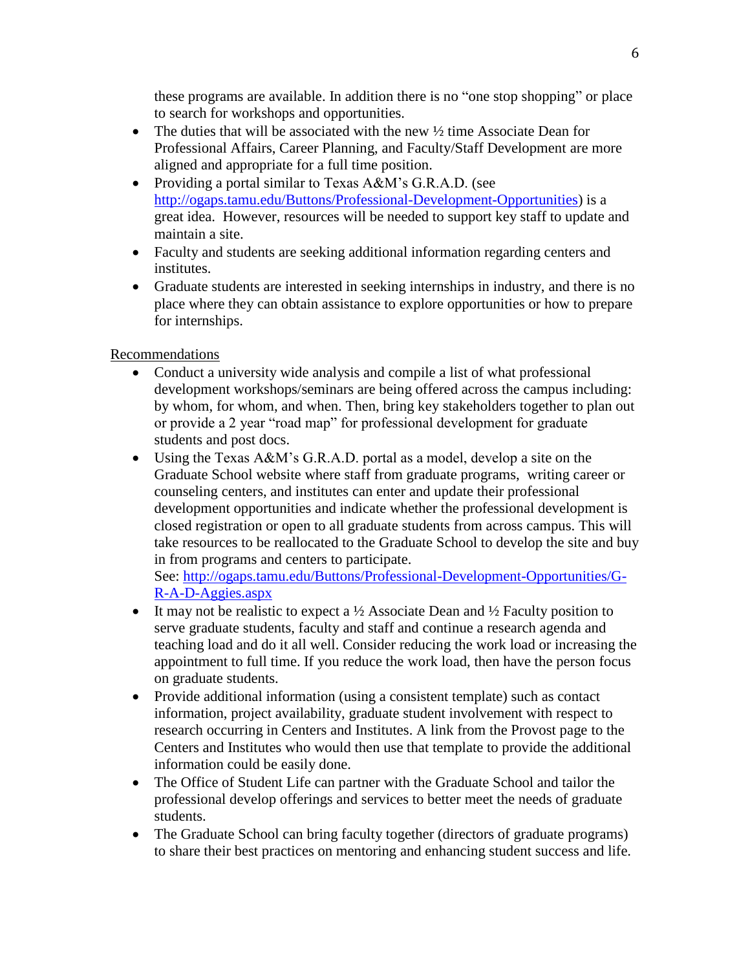these programs are available. In addition there is no "one stop shopping" or place to search for workshops and opportunities.

- The duties that will be associated with the new  $\frac{1}{2}$  time Associate Dean for Professional Affairs, Career Planning, and Faculty/Staff Development are more aligned and appropriate for a full time position.
- Providing a portal similar to Texas A&M's G.R.A.D. (see [http://ogaps.tamu.edu/Buttons/Professional-Development-Opportunities\)](http://ogaps.tamu.edu/Buttons/Professional-Development-Opportunities) is a great idea. However, resources will be needed to support key staff to update and maintain a site.
- Faculty and students are seeking additional information regarding centers and institutes.
- Graduate students are interested in seeking internships in industry, and there is no place where they can obtain assistance to explore opportunities or how to prepare for internships.

## Recommendations

- Conduct a university wide analysis and compile a list of what professional development workshops/seminars are being offered across the campus including: by whom, for whom, and when. Then, bring key stakeholders together to plan out or provide a 2 year "road map" for professional development for graduate students and post docs.
- Using the Texas A&M's G.R.A.D. portal as a model, develop a site on the Graduate School website where staff from graduate programs, writing career or counseling centers, and institutes can enter and update their professional development opportunities and indicate whether the professional development is closed registration or open to all graduate students from across campus. This will take resources to be reallocated to the Graduate School to develop the site and buy in from programs and centers to participate.

See: [http://ogaps.tamu.edu/Buttons/Professional-Development-Opportunities/G-](http://ogaps.tamu.edu/Buttons/Professional-Development-Opportunities/G-R-A-D-Aggies.aspx)[R-A-D-Aggies.aspx](http://ogaps.tamu.edu/Buttons/Professional-Development-Opportunities/G-R-A-D-Aggies.aspx)

- It may not be realistic to expect a  $\frac{1}{2}$  Associate Dean and  $\frac{1}{2}$  Faculty position to serve graduate students, faculty and staff and continue a research agenda and teaching load and do it all well. Consider reducing the work load or increasing the appointment to full time. If you reduce the work load, then have the person focus on graduate students.
- Provide additional information (using a consistent template) such as contact information, project availability, graduate student involvement with respect to research occurring in Centers and Institutes. A link from the Provost page to the Centers and Institutes who would then use that template to provide the additional information could be easily done.
- The Office of Student Life can partner with the Graduate School and tailor the professional develop offerings and services to better meet the needs of graduate students.
- The Graduate School can bring faculty together (directors of graduate programs) to share their best practices on mentoring and enhancing student success and life.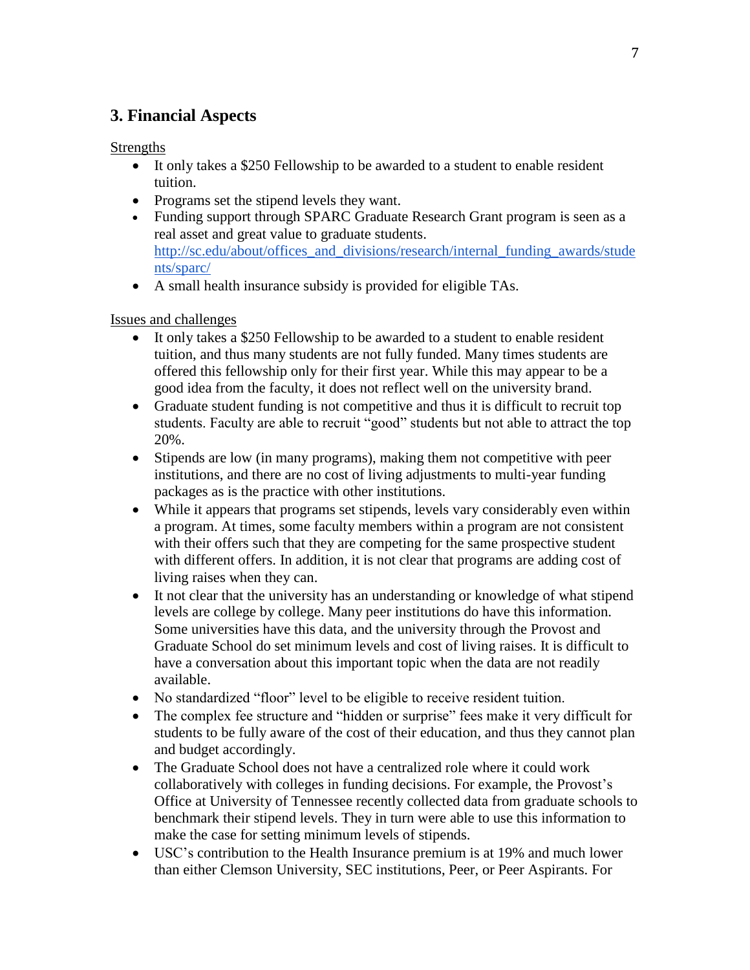# **3. Financial Aspects**

**Strengths** 

- It only takes a \$250 Fellowship to be awarded to a student to enable resident tuition.
- Programs set the stipend levels they want.
- Funding support through SPARC Graduate Research Grant program is seen as a real asset and great value to graduate students. [http://sc.edu/about/offices\\_and\\_divisions/research/internal\\_funding\\_awards/stude](http://sc.edu/about/offices_and_divisions/research/internal_funding_awards/students/sparc/) [nts/sparc/](http://sc.edu/about/offices_and_divisions/research/internal_funding_awards/students/sparc/)
- A small health insurance subsidy is provided for eligible TAs.

### Issues and challenges

- It only takes a \$250 Fellowship to be awarded to a student to enable resident tuition, and thus many students are not fully funded. Many times students are offered this fellowship only for their first year. While this may appear to be a good idea from the faculty, it does not reflect well on the university brand.
- Graduate student funding is not competitive and thus it is difficult to recruit top students. Faculty are able to recruit "good" students but not able to attract the top 20%.
- Stipends are low (in many programs), making them not competitive with peer institutions, and there are no cost of living adjustments to multi-year funding packages as is the practice with other institutions.
- While it appears that programs set stipends, levels vary considerably even within a program. At times, some faculty members within a program are not consistent with their offers such that they are competing for the same prospective student with different offers. In addition, it is not clear that programs are adding cost of living raises when they can.
- It not clear that the university has an understanding or knowledge of what stipend levels are college by college. Many peer institutions do have this information. Some universities have this data, and the university through the Provost and Graduate School do set minimum levels and cost of living raises. It is difficult to have a conversation about this important topic when the data are not readily available.
- No standardized "floor" level to be eligible to receive resident tuition.
- The complex fee structure and "hidden or surprise" fees make it very difficult for students to be fully aware of the cost of their education, and thus they cannot plan and budget accordingly.
- The Graduate School does not have a centralized role where it could work collaboratively with colleges in funding decisions. For example, the Provost's Office at University of Tennessee recently collected data from graduate schools to benchmark their stipend levels. They in turn were able to use this information to make the case for setting minimum levels of stipends.
- USC's contribution to the Health Insurance premium is at 19% and much lower than either Clemson University, SEC institutions, Peer, or Peer Aspirants. For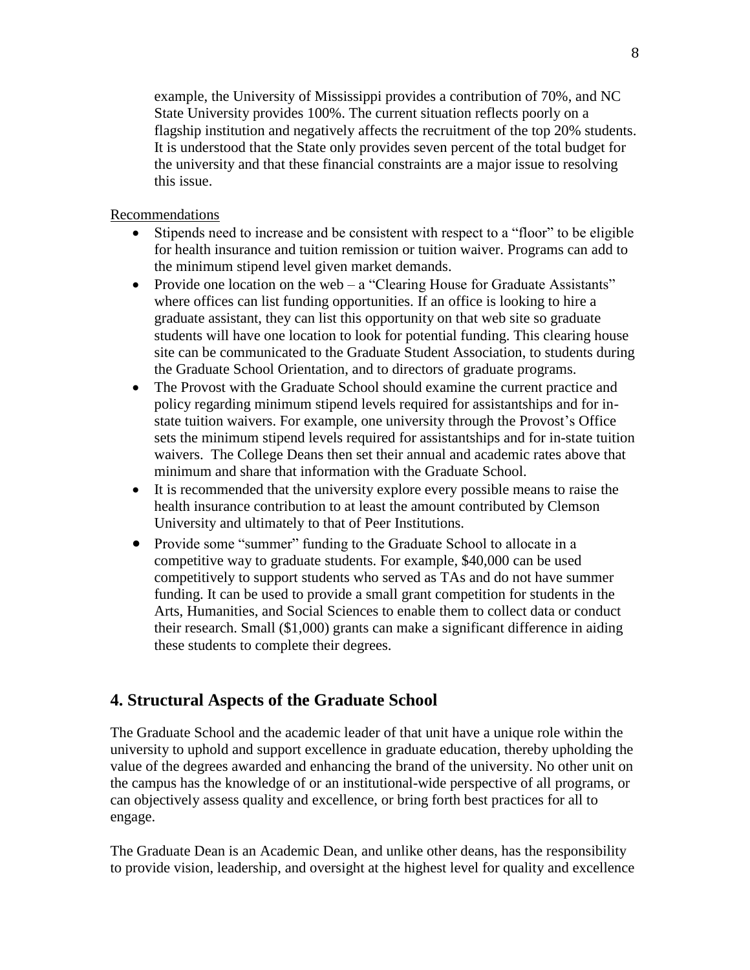example, the University of Mississippi provides a contribution of 70%, and NC State University provides 100%. The current situation reflects poorly on a flagship institution and negatively affects the recruitment of the top 20% students. It is understood that the State only provides seven percent of the total budget for the university and that these financial constraints are a major issue to resolving this issue.

### Recommendations

- Stipends need to increase and be consistent with respect to a "floor" to be eligible for health insurance and tuition remission or tuition waiver. Programs can add to the minimum stipend level given market demands.
- Provide one location on the web a "Clearing House for Graduate Assistants" where offices can list funding opportunities. If an office is looking to hire a graduate assistant, they can list this opportunity on that web site so graduate students will have one location to look for potential funding. This clearing house site can be communicated to the Graduate Student Association, to students during the Graduate School Orientation, and to directors of graduate programs.
- The Provost with the Graduate School should examine the current practice and policy regarding minimum stipend levels required for assistantships and for instate tuition waivers. For example, one university through the Provost's Office sets the minimum stipend levels required for assistantships and for in-state tuition waivers. The College Deans then set their annual and academic rates above that minimum and share that information with the Graduate School.
- It is recommended that the university explore every possible means to raise the health insurance contribution to at least the amount contributed by Clemson University and ultimately to that of Peer Institutions.
- Provide some "summer" funding to the Graduate School to allocate in a competitive way to graduate students. For example, \$40,000 can be used competitively to support students who served as TAs and do not have summer funding. It can be used to provide a small grant competition for students in the Arts, Humanities, and Social Sciences to enable them to collect data or conduct their research. Small (\$1,000) grants can make a significant difference in aiding these students to complete their degrees.

## **4. Structural Aspects of the Graduate School**

The Graduate School and the academic leader of that unit have a unique role within the university to uphold and support excellence in graduate education, thereby upholding the value of the degrees awarded and enhancing the brand of the university. No other unit on the campus has the knowledge of or an institutional-wide perspective of all programs, or can objectively assess quality and excellence, or bring forth best practices for all to engage.

The Graduate Dean is an Academic Dean, and unlike other deans, has the responsibility to provide vision, leadership, and oversight at the highest level for quality and excellence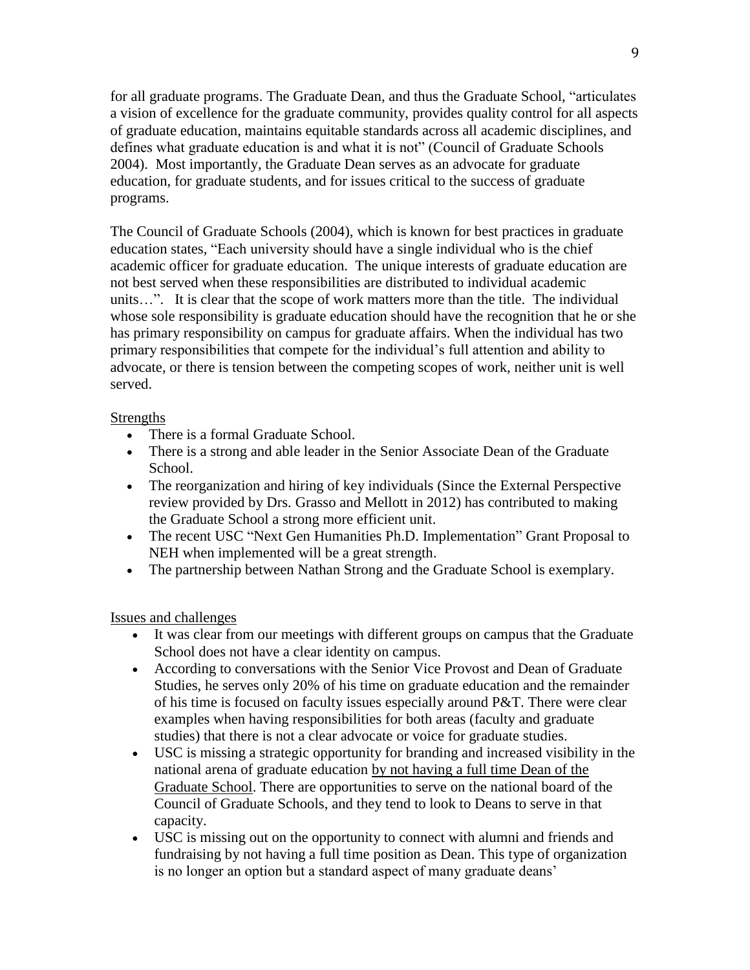for all graduate programs. The Graduate Dean, and thus the Graduate School, "articulates a vision of excellence for the graduate community, provides quality control for all aspects of graduate education, maintains equitable standards across all academic disciplines, and defines what graduate education is and what it is not" (Council of Graduate Schools 2004). Most importantly, the Graduate Dean serves as an advocate for graduate education, for graduate students, and for issues critical to the success of graduate programs.

The Council of Graduate Schools (2004), which is known for best practices in graduate education states, "Each university should have a single individual who is the chief academic officer for graduate education. The unique interests of graduate education are not best served when these responsibilities are distributed to individual academic units…". It is clear that the scope of work matters more than the title. The individual whose sole responsibility is graduate education should have the recognition that he or she has primary responsibility on campus for graduate affairs. When the individual has two primary responsibilities that compete for the individual's full attention and ability to advocate, or there is tension between the competing scopes of work, neither unit is well served.

### Strengths

- There is a formal Graduate School.
- There is a strong and able leader in the Senior Associate Dean of the Graduate School.
- The reorganization and hiring of key individuals (Since the External Perspective review provided by Drs. Grasso and Mellott in 2012) has contributed to making the Graduate School a strong more efficient unit.
- The recent USC "Next Gen Humanities Ph.D. Implementation" Grant Proposal to NEH when implemented will be a great strength.
- The partnership between Nathan Strong and the Graduate School is exemplary.

Issues and challenges

- It was clear from our meetings with different groups on campus that the Graduate School does not have a clear identity on campus.
- According to conversations with the Senior Vice Provost and Dean of Graduate Studies, he serves only 20% of his time on graduate education and the remainder of his time is focused on faculty issues especially around P&T. There were clear examples when having responsibilities for both areas (faculty and graduate studies) that there is not a clear advocate or voice for graduate studies.
- USC is missing a strategic opportunity for branding and increased visibility in the national arena of graduate education by not having a full time Dean of the Graduate School. There are opportunities to serve on the national board of the Council of Graduate Schools, and they tend to look to Deans to serve in that capacity.
- USC is missing out on the opportunity to connect with alumni and friends and fundraising by not having a full time position as Dean. This type of organization is no longer an option but a standard aspect of many graduate deans'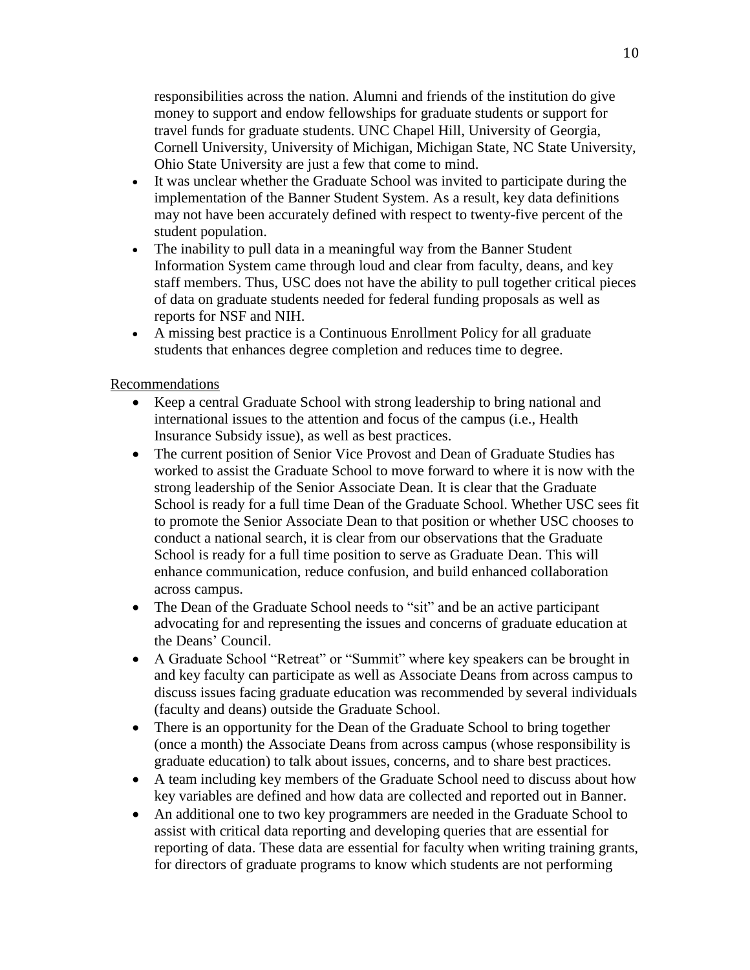responsibilities across the nation. Alumni and friends of the institution do give money to support and endow fellowships for graduate students or support for travel funds for graduate students. UNC Chapel Hill, University of Georgia, Cornell University, University of Michigan, Michigan State, NC State University, Ohio State University are just a few that come to mind.

- It was unclear whether the Graduate School was invited to participate during the implementation of the Banner Student System. As a result, key data definitions may not have been accurately defined with respect to twenty-five percent of the student population.
- The inability to pull data in a meaningful way from the Banner Student Information System came through loud and clear from faculty, deans, and key staff members. Thus, USC does not have the ability to pull together critical pieces of data on graduate students needed for federal funding proposals as well as reports for NSF and NIH.
- A missing best practice is a Continuous Enrollment Policy for all graduate students that enhances degree completion and reduces time to degree.

### Recommendations

- Keep a central Graduate School with strong leadership to bring national and international issues to the attention and focus of the campus (i.e., Health Insurance Subsidy issue), as well as best practices.
- The current position of Senior Vice Provost and Dean of Graduate Studies has worked to assist the Graduate School to move forward to where it is now with the strong leadership of the Senior Associate Dean. It is clear that the Graduate School is ready for a full time Dean of the Graduate School. Whether USC sees fit to promote the Senior Associate Dean to that position or whether USC chooses to conduct a national search, it is clear from our observations that the Graduate School is ready for a full time position to serve as Graduate Dean. This will enhance communication, reduce confusion, and build enhanced collaboration across campus.
- The Dean of the Graduate School needs to "sit" and be an active participant advocating for and representing the issues and concerns of graduate education at the Deans' Council.
- A Graduate School "Retreat" or "Summit" where key speakers can be brought in and key faculty can participate as well as Associate Deans from across campus to discuss issues facing graduate education was recommended by several individuals (faculty and deans) outside the Graduate School.
- There is an opportunity for the Dean of the Graduate School to bring together (once a month) the Associate Deans from across campus (whose responsibility is graduate education) to talk about issues, concerns, and to share best practices.
- A team including key members of the Graduate School need to discuss about how key variables are defined and how data are collected and reported out in Banner.
- An additional one to two key programmers are needed in the Graduate School to assist with critical data reporting and developing queries that are essential for reporting of data. These data are essential for faculty when writing training grants, for directors of graduate programs to know which students are not performing